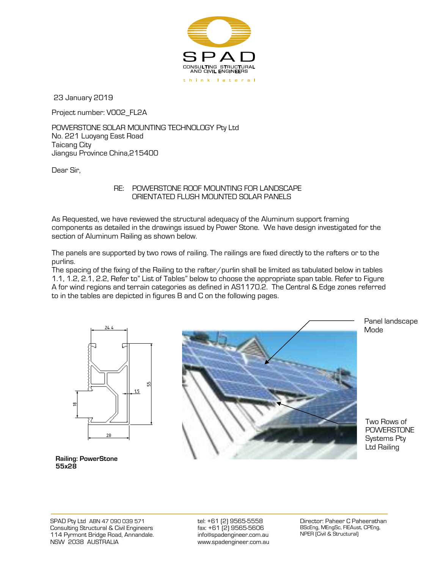

23 January 2019

Project number: V002\_FL2A

POWERSTONE SOLAR MOUNTING TECHNOLOGY Pty Ltd No. 221 Luoyang East Road Taicang City Jiangsu Province China,215400

Dear Sir,

## <span id="page-0-0"></span> RE: POWERSTONE ROOF MOUNTING FOR LANDSCAPE ORIENTATED FLUSH MOUNTED SOLAR PANELS

As Requested, we have reviewed the structural adequacy of the Aluminum support framing components as detailed in the drawings issued by Power Stone. We have design investigated for the section of Aluminum Railing as shown below.

The panels are supported by two rows of railing. The railings are fixed directly to the rafters or to the purlins.

The spacing of the fixing of the Railing to the rafter/purlin shall be limited as tabulated below in tables 1.1, 1.2, 2.1, 2.2, Refer to" List of Tables" below to choose the appropriate span table. Refer to Figure A for wind regions and terrain categories as defined in AS1170.2. The Central & Edge zones referred to in the tables are depicted in figures B and C on the following pages.





Panel landscape Mode

Two Rows of **POWERSTONE** Systems Pty Ltd Railing

**Railing: PowerStone 55x28**

SPAD Pty Ltd ABN 47 090 039 571 Consulting Structural & Civil Engineers 114 Pyrmont Bridge Road, Annandale. NSW 2038 AUSTRALIA

tel: +61 (2) 9565-5558 fax: +61 (2) 9565-5606 [info@spadengineer.com.au](mailto:info@spadengineer.com.au) [www.spadengineer.com.au](http://www.spadengineer.com.au/)

Director: Paheer C Paheerathan BScEng, MEngSc, FIEAust, CPEng, NPER (Civil & Structural)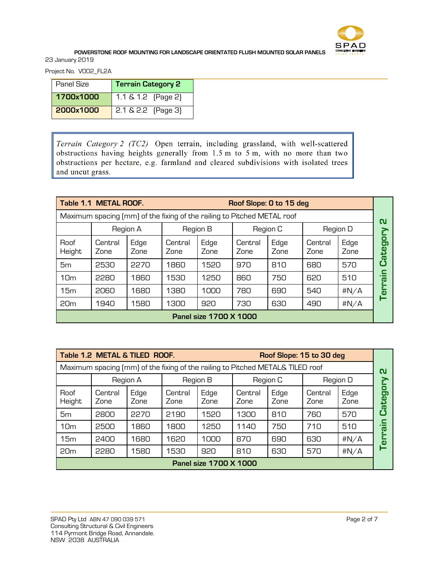

Project No. V002\_FL2A

| Panel Size | <b>Terrain Category 2</b> |  |  |  |
|------------|---------------------------|--|--|--|
| 1700×1000  | 1.1 & 1.2 (Page 2)        |  |  |  |
| 2000×1000  | $2.1 \& 2.2$ (Page 3)     |  |  |  |

Terrain Category 2 (TC2) Open terrain, including grassland, with well-scattered obstructions having heights generally from 1.5 m to 5 m, with no more than two obstructions per hectare, e.g. farmland and cleared subdivisions with isolated trees and uncut grass.

| Table 1.1 METAL ROOF.<br>Roof Slope: 0 to 15 deg                        |                 |              |                 |              |                 |              |                 |              |                         |
|-------------------------------------------------------------------------|-----------------|--------------|-----------------|--------------|-----------------|--------------|-----------------|--------------|-------------------------|
| Maximum spacing (mm) of the fixing of the railing to Pitched METAL roof |                 |              |                 |              |                 |              |                 |              | ุณ                      |
|                                                                         | Region A        |              | Region B        |              | Region C        |              | Region D        |              |                         |
| Roof<br>Height                                                          | Central<br>Zone | Edge<br>Zone | Central<br>Zone | Edge<br>Zone | Central<br>Zone | Edge<br>Zone | Central<br>Zone | Edge<br>Zone | о<br>О<br><b>B</b><br>ω |
| 5 <sub>m</sub>                                                          | 2530            | 2270         | 1860            | 1520         | 970             | 810          | 680             | 570          |                         |
| 10 <sub>m</sub>                                                         | 2280            | 1860         | 1530            | 1250         | 860             | 750          | 620             | 510          | (c                      |
| 15m                                                                     | 2060            | 1680         | 1380            | 1000         | 780             | 690          | 540             | #N/A         | m                       |
| 20m                                                                     | 1940            | 1580         | 1300            | 920          | 730             | 630          | 490             | #N/A         |                         |
| Panel size 1700 X 1000                                                  |                 |              |                 |              |                 |              |                 |              |                         |

| Table 1.2 METAL & TILED ROOF.<br>Roof Slope: 15 to 30 deg |                                                                                |              |                 |              |                 |              |                 |              |                         |
|-----------------------------------------------------------|--------------------------------------------------------------------------------|--------------|-----------------|--------------|-----------------|--------------|-----------------|--------------|-------------------------|
|                                                           | Maximum spacing (mm) of the fixing of the railing to Pitched METAL& TILED roof |              |                 |              |                 |              |                 |              |                         |
|                                                           | Region A<br>Region B                                                           |              |                 | Region C     |                 | Region D     |                 |              |                         |
| Roof<br>Height                                            | Central<br>Zone                                                                | Edge<br>Zone | Central<br>Zone | Edge<br>Zone | Central<br>Zone | Edge<br>Zone | Central<br>Zone | Edge<br>Zone | О<br>ō<br><b>B</b><br>σ |
| 5 <sub>m</sub>                                            | 2800                                                                           | 2270         | 2190            | 1520         | 1300            | 810          | 760             | 570          | r                       |
| 10 <sub>m</sub>                                           | 2500                                                                           | 1860         | 1800            | 1250         | 1140            | 750          | 710             | 510          | Œσ                      |
| 15m                                                       | 2400                                                                           | 1680         | 1620            | 1000         | 870             | 690          | 630             | #N/A         |                         |
| 20m                                                       | 2280                                                                           | 1580         | 1530            | 920          | 810             | 630          | 570             | #N/A         |                         |
| <b>Panel size 1700 X 1000</b>                             |                                                                                |              |                 |              |                 |              |                 |              |                         |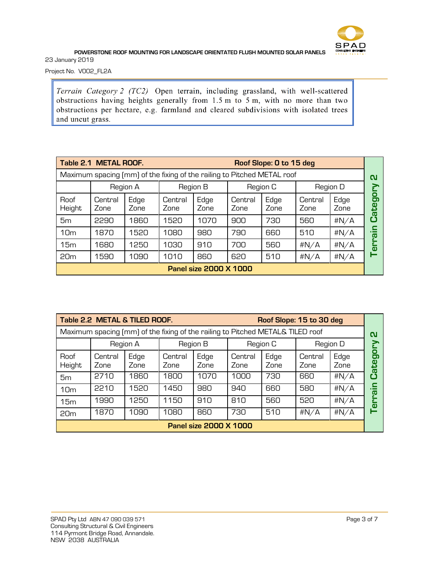

Project No. V002\_FL2A

Terrain Category 2 (TC2) Open terrain, including grassland, with well-scattered obstructions having heights generally from 1.5 m to 5 m, with no more than two obstructions per hectare, e.g. farmland and cleared subdivisions with isolated trees and uncut grass.

| Table 2.1 METAL ROOF.                                                   |                 |              |                 |              |                 | Roof Slope: 0 to 15 deg |                 |              |                                      |
|-------------------------------------------------------------------------|-----------------|--------------|-----------------|--------------|-----------------|-------------------------|-----------------|--------------|--------------------------------------|
| Maximum spacing (mm) of the fixing of the railing to Pitched METAL roof |                 |              |                 |              |                 |                         |                 |              | ุณ                                   |
|                                                                         |                 | Region A     | Region B        |              | Region C        |                         | Region D        |              |                                      |
| Roof<br>Height                                                          | Central<br>Zone | Edge<br>Zone | Central<br>Zone | Edge<br>Zone | Central<br>Zone | Edge<br>Zone            | Central<br>Zone | Edge<br>Zone | о<br>O.<br>ē,<br>$\overline{\omega}$ |
| 5 <sub>m</sub>                                                          | 2290            | 1860         | 1520            | 1070         | 900             | 730                     | 560             | #N/A         | ני                                   |
| 10 <sub>m</sub>                                                         | 1870            | 1520         | 1080            | 980          | 790             | 660                     | 510             | #N/A         | .<br>$\overline{\omega}$             |
| 15m                                                                     | 1680            | 1250         | 1030            | 910          | 700             | 560                     | #N/A            | #N/A         | G)                                   |
| 20m                                                                     | 1590            | 1090         | 1010            | 860          | 620             | 510                     | #N/A            | #N/A         |                                      |
| <b>Panel size 2000 X 1000</b>                                           |                 |              |                 |              |                 |                         |                 |              |                                      |

| Table 2.2 METAL & TILED ROOF.<br>Roof Slope: 15 to 30 deg                      |                 |              |                 |              |                 |              |                 |              |                     |
|--------------------------------------------------------------------------------|-----------------|--------------|-----------------|--------------|-----------------|--------------|-----------------|--------------|---------------------|
| Maximum spacing (mm) of the fixing of the railing to Pitched METAL& TILED roof |                 |              |                 |              |                 |              |                 |              |                     |
|                                                                                |                 | Region A     |                 | Region B     |                 | Region C     |                 | Region D     |                     |
| Roof<br>Height                                                                 | Central<br>Zone | Edge<br>Zone | Central<br>Zone | Edge<br>Zone | Central<br>Zone | Edge<br>Zone | Central<br>Zone | Edge<br>Zone | О<br>ō<br>ate       |
| 5 <sub>m</sub>                                                                 | 2710            | 1860         | 1800            | 1070         | 1000            | 730          | 660             | #N/A         | O                   |
| 10 <sub>m</sub>                                                                | 2210            | 1520         | 1450            | 980          | 940             | 660          | 580             | #N/A         | $\overline{\omega}$ |
| 15m                                                                            | 1990            | 1250         | 1150            | 910          | 810             | 560          | 520             | #N/A         | o                   |
| 20 <sub>m</sub>                                                                | 1870            | 1090         | 1080            | 860          | 730             | 510          | #N/A            | #N/A         |                     |
| <b>Panel size 2000 X 1000</b>                                                  |                 |              |                 |              |                 |              |                 |              |                     |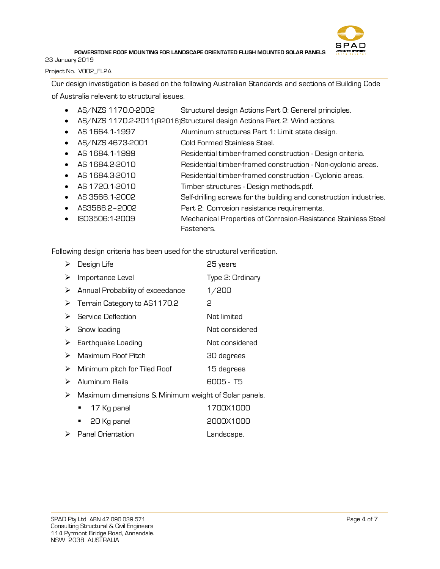

23 January 2019

Project No. V002\_FL2A

Our design investigation is based on the following Australian Standards and sections of Building Code of Australia relevant to structural issues.

- AS/NZS 1170.0-2002 Structural design Actions Part 0: General principles.
- AS/NZS 1170.2-2011 (R2016) Structural design Actions Part 2: Wind actions.
- AS 1664.1-1997 Aluminum structures Part 1: Limit state design.
- AS/NZS 4673-2001 Cold Formed Stainless Steel.
- AS 1684.1-1999 Residential timber-framed construction Design criteria.
- AS 1684.2-2010 Residential timber-framed construction Non-cyclonic areas.
- AS 1684.3-2010 Residential timber-framed construction Cyclonic areas.
- AS 1720.1-2010 Timber structures Design methods.pdf.
- AS 3566.1-2002 Self-drilling screws for the building and construction industries.
- AS3566.2–2002 Part 2: Corrosion resistance requirements.
- ISO3506:1-2009 Mechanical Properties of Corrosion-Resistance Stainless Steel Fasteners.

Following design criteria has been used for the structural verification.

| ➤ | Design Life                                          | 25 years         |  |  |  |  |  |
|---|------------------------------------------------------|------------------|--|--|--|--|--|
| ➤ | Importance Level                                     | Type 2: Ordinary |  |  |  |  |  |
| ➤ | Annual Probability of exceedance                     | 1/200            |  |  |  |  |  |
| ➤ | Terrain Category to AS1170.2                         | 2                |  |  |  |  |  |
| ➤ | Service Deflection                                   | Not limited      |  |  |  |  |  |
| ➤ | Snow loading                                         | Not considered   |  |  |  |  |  |
| ➤ | Earthquake Loading                                   | Not considered   |  |  |  |  |  |
| ⋗ | Maximum Roof Pitch                                   | 30 degrees       |  |  |  |  |  |
| ➤ | Minimum pitch for Tiled Roof                         | 15 degrees       |  |  |  |  |  |
| ➤ | Aluminum Rails                                       | 6005 - T5        |  |  |  |  |  |
| ⋗ | Maximum dimensions & Minimum weight of Solar panels. |                  |  |  |  |  |  |
|   | 17 Kg panel<br>п                                     | 1700X1000        |  |  |  |  |  |
|   | 20 Kg panel<br>٠                                     | 2000X1000        |  |  |  |  |  |
| ➤ | <b>Panel Orientation</b>                             | Landscape.       |  |  |  |  |  |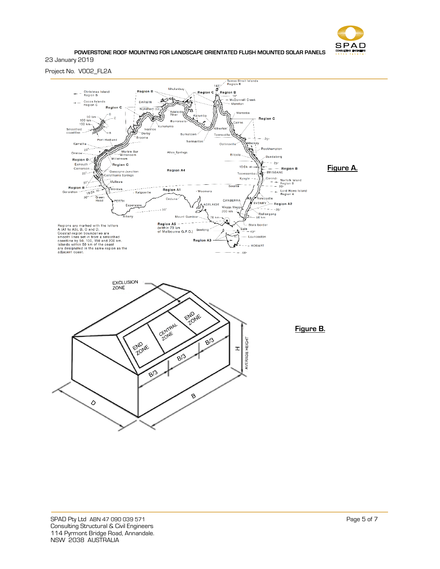

## Project No. V002\_FL2A

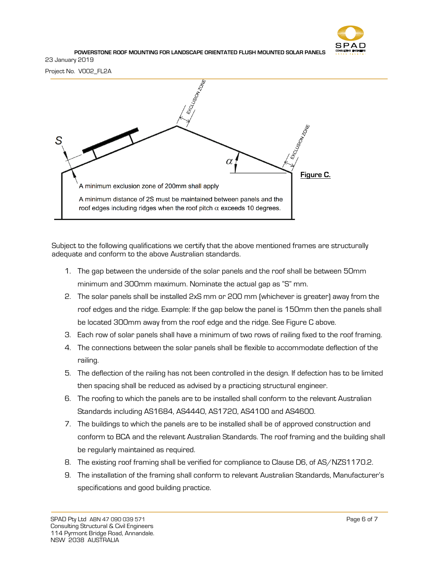

Project No. V002\_FL2A



Subject to the following qualifications we certify that the above mentioned frames are structurally adequate and conform to the above Australian standards.

- 1. The gap between the underside of the solar panels and the roof shall be between 50mm minimum and 300mm maximum. Nominate the actual gap as "S" mm.
- 2. The solar panels shall be installed 2xS mm or 200 mm (whichever is greater) away from the roof edges and the ridge. Example: If the gap below the panel is 150mm then the panels shall be located 300mm away from the roof edge and the ridge. See Figure C above.
- 3. Each row of solar panels shall have a minimum of two rows of railing fixed to the roof framing.
- 4. The connections between the solar panels shall be flexible to accommodate deflection of the railing.
- 5. The deflection of the railing has not been controlled in the design. If defection has to be limited then spacing shall be reduced as advised by a practicing structural engineer.
- 6. The roofing to which the panels are to be installed shall conform to the relevant Australian Standards including AS1684, AS4440, AS1720, AS4100 and AS4600.
- 7. The buildings to which the panels are to be installed shall be of approved construction and conform to BCA and the relevant Australian Standards. The roof framing and the building shall be regularly maintained as required.
- 8. The existing roof framing shall be verified for compliance to Clause D6, of AS/NZS1170.2.
- 9. The installation of the framing shall conform to relevant Australian Standards, Manufacturer's specifications and good building practice.